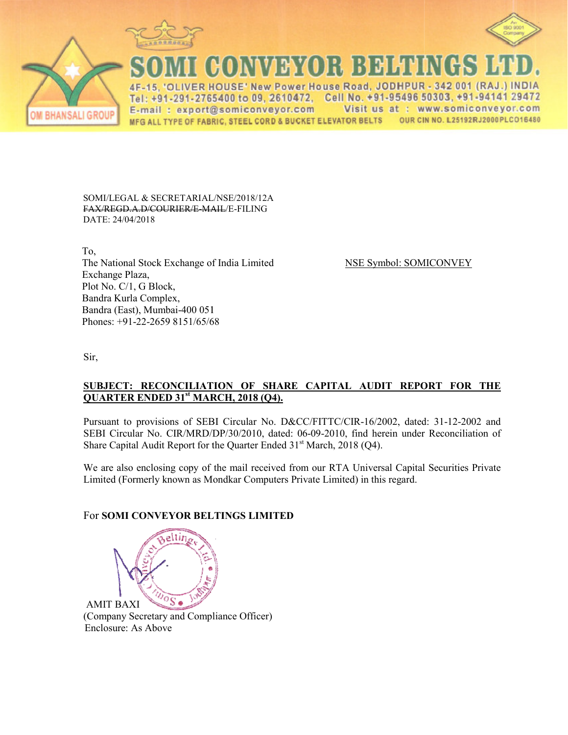



**CONVEYOR BELTINGS** 

**IVER HOUSE' New Power House Road, JODHPUR**  $-342001$  (RAJ  $\overline{AB}$ Tel: +91-291-2765400 to 09, 2610472. Cell No. +91-95496 50303, +91-94141 29472 Visit us at : www.somiconveyor.com E-mail: export@somiconveyor.com OUR CIN NO. L25192RJ2000PLCO16480 MFG ALL TYPE OF FABRIC, STEEL CORD & BUCKET ELEVATOR BELTS

SOMI/LEGAL & SECRETARIAL/NSE/2018/12A F<del>AX/REGD.A.D/COURIER/E-MAIL</del>/E-FILING DATE: 24/04/2018

 To, The National Stock Exchange of I Exchange Plaza, Plot No. C/1, G Block, Bandra Kurla Complex, Bandra (East), Mumbai-400 051 0 051 Phones: +91-22-2659 8151/65/68

ge of India Limited NSE Symbol: SOMICONVEY

Sir,

## SUBJECT: RECONCILIATION OF SHARE CAPITAL AUDIT REPORT FOR THE **QUARTER ENDED 31st MARC MARCH, 2018 (Q4).**

Pursuant to provisions of SEBI Circular No. D&CC/FITTC/CIR-16/2002, dated: 31-12-2002 and SEBI Circular No. CIR/MRD/DP/30/2010, dated: 06-09-2010, find herein under Reconciliation of Share Capital Audit Report for the Quarter Ended  $31<sup>st</sup>$  March, 2018 (Q4).

We are also enclosing copy of the mail received from our RTA Universal Capital Securities Private Limited (Formerly known as Mondkar Computers Private Limited) in this regard.

## For **SOMI CONVEYOR BELT BELTINGS LIMITED**

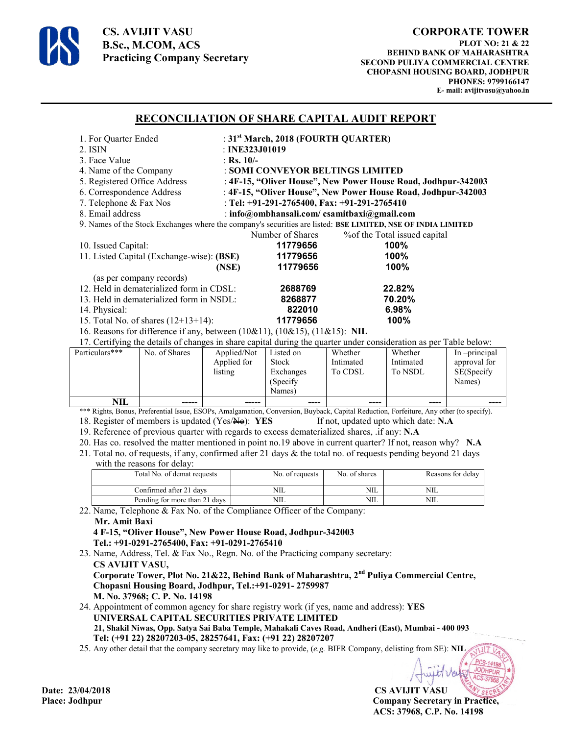

**CS. AVIJIT VASU B.Sc., M.COM, ACS Practicing Company Secretary** 

## **RECONCILIATION OF SHARE CAPITAL AUDIT REPORT**

| 1. For Quarter Ended                                                                                         | : $31st March$ , 2018 (FOURTH QUARTER)                        |                                                                                                                   |  |  |  |
|--------------------------------------------------------------------------------------------------------------|---------------------------------------------------------------|-------------------------------------------------------------------------------------------------------------------|--|--|--|
| 2. ISIN                                                                                                      | : INE323J01019                                                |                                                                                                                   |  |  |  |
| 3. Face Value                                                                                                | : Rs. $10/-$                                                  |                                                                                                                   |  |  |  |
| 4. Name of the Company                                                                                       | : SOMI CONVEYOR BELTINGS LIMITED                              |                                                                                                                   |  |  |  |
| 5. Registered Office Address                                                                                 | : 4F-15, "Oliver House", New Power House Road, Jodhpur-342003 |                                                                                                                   |  |  |  |
| 6. Correspondence Address                                                                                    | : 4F-15, "Oliver House", New Power House Road, Jodhpur-342003 |                                                                                                                   |  |  |  |
| 7. Telephone & Fax Nos                                                                                       | : Tel: +91-291-2765400, Fax: +91-291-2765410                  |                                                                                                                   |  |  |  |
| 8. Email address                                                                                             | : info@ombhansali.com/ csamitbaxi@gmail.com                   |                                                                                                                   |  |  |  |
| 9. Names of the Stock Exchanges where the company's securities are listed: BSE LIMITED, NSE OF INDIA LIMITED |                                                               |                                                                                                                   |  |  |  |
|                                                                                                              | Number of Shares                                              | % of the Total issued capital                                                                                     |  |  |  |
| 10. Issued Capital:                                                                                          | 11779656                                                      | $100\%$                                                                                                           |  |  |  |
| 11. Listed Capital (Exchange-wise): (BSE)                                                                    | 11779656                                                      | 100%                                                                                                              |  |  |  |
|                                                                                                              | 11779656<br>(NSE)                                             | 100%                                                                                                              |  |  |  |
| (as per company records)                                                                                     |                                                               |                                                                                                                   |  |  |  |
| 12. Held in dematerialized form in CDSL:                                                                     | 2688769                                                       | 22.82%                                                                                                            |  |  |  |
| 13. Held in dematerialized form in NSDL:                                                                     | 8268877                                                       | 70.20%                                                                                                            |  |  |  |
| 14. Physical:                                                                                                | 822010                                                        | 6.98%                                                                                                             |  |  |  |
| 15. Total No. of shares $(12+13+14)$ :                                                                       | 11779656                                                      | 100%                                                                                                              |  |  |  |
| 16. Reasons for difference if any, between $(10\&11)$ , $(10\&15)$ , $(11\&15)$ : NIL                        |                                                               |                                                                                                                   |  |  |  |
|                                                                                                              |                                                               | 17. Certifying the details of changes in share capital during the quarter under consideration as per Table below: |  |  |  |

| Particulars*** | No. of Shares | Applied/Not<br>Applied for<br>listing | Listed on<br><b>Stock</b><br>Exchanges<br>(Specify)<br>Names) | Whether<br>Intimated<br>To CDSL | Whether<br>Intimated<br>To NSDL      | In -principal<br>approval for<br>SE(Specify<br>Names) |
|----------------|---------------|---------------------------------------|---------------------------------------------------------------|---------------------------------|--------------------------------------|-------------------------------------------------------|
| NIL            | ------        | ------                                | ----                                                          | ----                            | $\qquad \qquad \cdots \qquad \qquad$ | ----                                                  |

\*\*\* Rights, Bonus, Preferential Issue, ESOPs, Amalgamation, Conversion, Buyback, Capital Reduction, Forfeiture, Any other (to specify). 18. Register of members is updated (Yes/No): **YES** If not, updated upto which date: **N.A** 

19. Reference of previous quarter with regards to excess dematerialized shares, .if any: **N.A**

- 20. Has co. resolved the matter mentioned in point no.19 above in current quarter? If not, reason why? **N.A**
- 21. Total no. of requests, if any, confirmed after 21 days & the total no. of requests pending beyond 21 days with the reasons for delay:

| Total No. of demat requests   | No. of requests | No. of shares | Reasons for delay |
|-------------------------------|-----------------|---------------|-------------------|
| Confirmed after 21 davs       | NІL             | NIL           | NIL               |
| Pending for more than 21 days | NІL             | NIL           | NIL               |

22. Name, Telephone & Fax No. of the Compliance Officer of the Company: **Mr. Amit Baxi** 

 **4 F-15, "Oliver House", New Power House Road, Jodhpur-342003 Tel.: +91-0291-2765400, Fax: +91-0291-2765410**

23. Name, Address, Tel. & Fax No., Regn. No. of the Practicing company secretary:  **CS AVIJIT VASU, Corporate Tower, Plot No. 21&22, Behind Bank of Maharashtra, 2nd Puliya Commercial Centre,** 

 **Chopasni Housing Board, Jodhpur, Tel.:+91-0291- 2759987 M. No. 37968; C. P. No. 14198** 

24. Appointment of common agency for share registry work (if yes, name and address): **YES UNIVERSAL CAPITAL SECURITIES PRIVATE LIMITED 21, Shakil Niwas, Opp. Satya Sai Baba Temple, Mahakali Caves Road, Andheri (East), Mumbai - 400 093 Tel: (+91 22) 28207203-05, 28257641, Fax: (+91 22) 28207207**

25. Any other detail that the company secretary may like to provide, (*e.g.* BIFR Company, delisting from SE): **NIL** 

**Date: 23/04/2018 CS AVIJIT VASU Place: Jodhpur Company Secretary in Practice, ACS: 37968, C.P. No. 14198**